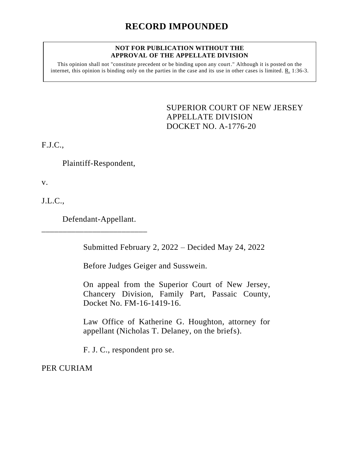# **RECORD IMPOUNDED**

### **NOT FOR PUBLICATION WITHOUT THE APPROVAL OF THE APPELLATE DIVISION**

This opinion shall not "constitute precedent or be binding upon any court." Although it is posted on the internet, this opinion is binding only on the parties in the case and its use in other cases is limited. R. 1:36-3.

> <span id="page-0-0"></span>SUPERIOR COURT OF NEW JERSEY APPELLATE DIVISION DOCKET NO. A-1776-20

F.J.C.,

Plaintiff-Respondent,

v.

J.L.C.,

Defendant-Appellant.

\_\_\_\_\_\_\_\_\_\_\_\_\_\_\_\_\_\_\_\_\_\_\_\_\_

Submitted February 2, 2022 – Decided May 24, 2022

Before Judges Geiger and Susswein.

On appeal from the Superior Court of New Jersey, Chancery Division, Family Part, Passaic County, Docket No. FM-16-1419-16.

Law Office of Katherine G. Houghton, attorney for appellant (Nicholas T. Delaney, on the briefs).

F. J. C., respondent pro se.

PER CURIAM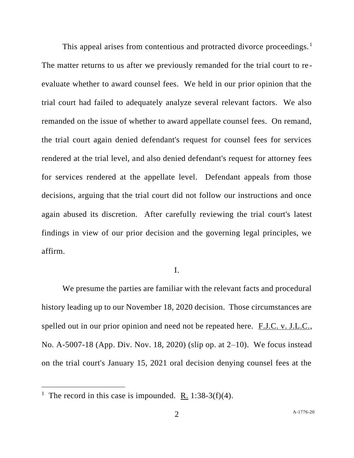This appeal arises from contentious and protracted divorce proceedings.<sup>1</sup> The matter returns to us after we previously remanded for the trial court to re evaluate whether to award counsel fees. We held in our prior opinion that the trial court had failed to adequately analyze several relevant factors. We also remanded on the issue of whether to award appellate counsel fees. On remand, the trial court again denied defendant's request for counsel fees for services rendered at the trial level, and also denied defendant's request for attorney fees for services rendered at the appellate level. Defendant appeals from those decisions, arguing that the trial court did not follow our instructions and once again abused its discretion. After carefully reviewing the trial court's latest findings in view of our prior decision and the governing legal principles, we affirm.

### I.

We presume the parties are familiar with the relevant facts and procedural history leading up to our November 18, 2020 decision. Those circumstances are spelled out in our prior opinion and need not be repeated here. F.J.C. v. J.L.C., No. A-5007-18 (App. Div. Nov. 18, 2020) (slip op. at 2–10). We focus instead on the trial court's January 15, 2021 oral decision denying counsel fees at the

<sup>&</sup>lt;sup>1</sup> The record in this case is impounded. <u>R.</u> 1:38-3(f)(4).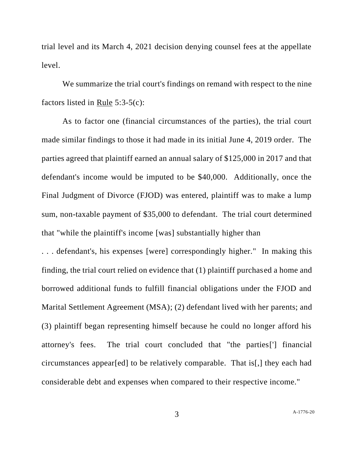trial level and its March 4, 2021 decision denying counsel fees at the appellate level.

We summarize the trial court's findings on remand with respect to the nine factors listed in Rule 5:3-5(c):

As to factor one (financial circumstances of the parties), the trial court made similar findings to those it had made in its initial June 4, 2019 order. The parties agreed that plaintiff earned an annual salary of \$125,000 in 2017 and that defendant's income would be imputed to be \$40,000. Additionally, once the Final Judgment of Divorce (FJOD) was entered, plaintiff was to make a lump sum, non-taxable payment of \$35,000 to defendant. The trial court determined that "while the plaintiff's income [was] substantially higher than

. . . defendant's, his expenses [were] correspondingly higher." In making this finding, the trial court relied on evidence that (1) plaintiff purchased a home and borrowed additional funds to fulfill financial obligations under the FJOD and Marital Settlement Agreement (MSA); (2) defendant lived with her parents; and (3) plaintiff began representing himself because he could no longer afford his attorney's fees. The trial court concluded that "the parties['] financial circumstances appear[ed] to be relatively comparable. That is[,] they each had considerable debt and expenses when compared to their respective income."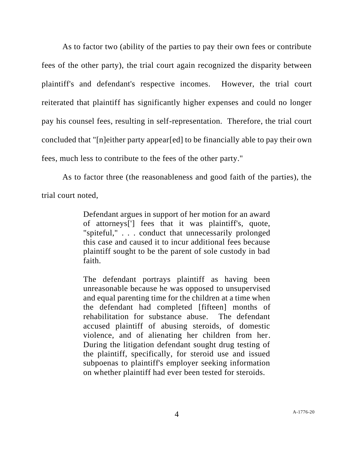As to factor two (ability of the parties to pay their own fees or contribute fees of the other party), the trial court again recognized the disparity between plaintiff's and defendant's respective incomes. However, the trial court reiterated that plaintiff has significantly higher expenses and could no longer pay his counsel fees, resulting in self-representation. Therefore, the trial court concluded that "[n]either party appear[ed] to be financially able to pay their own fees, much less to contribute to the fees of the other party."

As to factor three (the reasonableness and good faith of the parties), the trial court noted,

> Defendant argues in support of her motion for an award of attorneys['] fees that it was plaintiff's, quote, "spiteful," . . . conduct that unnecessarily prolonged this case and caused it to incur additional fees because plaintiff sought to be the parent of sole custody in bad faith.

> The defendant portrays plaintiff as having been unreasonable because he was opposed to unsupervised and equal parenting time for the children at a time when the defendant had completed [fifteen] months of rehabilitation for substance abuse. The defendant accused plaintiff of abusing steroids, of domestic violence, and of alienating her children from her. During the litigation defendant sought drug testing of the plaintiff, specifically, for steroid use and issued subpoenas to plaintiff's employer seeking information on whether plaintiff had ever been tested for steroids.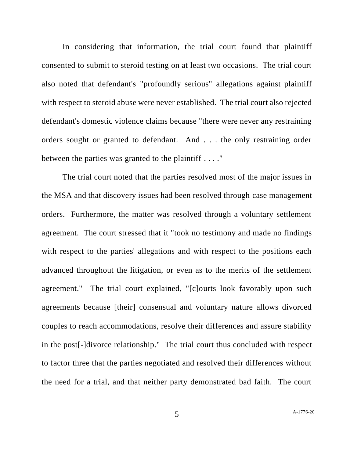In considering that information, the trial court found that plaintiff consented to submit to steroid testing on at least two occasions. The trial court also noted that defendant's "profoundly serious" allegations against plaintiff with respect to steroid abuse were never established. The trial court also rejected defendant's domestic violence claims because "there were never any restraining orders sought or granted to defendant. And . . . the only restraining order between the parties was granted to the plaintiff . . . ."

The trial court noted that the parties resolved most of the major issues in the MSA and that discovery issues had been resolved through case management orders. Furthermore, the matter was resolved through a voluntary settlement agreement. The court stressed that it "took no testimony and made no findings with respect to the parties' allegations and with respect to the positions each advanced throughout the litigation, or even as to the merits of the settlement agreement." The trial court explained, "[c]ourts look favorably upon such agreements because [their] consensual and voluntary nature allows divorced couples to reach accommodations, resolve their differences and assure stability in the post[-]divorce relationship." The trial court thus concluded with respect to factor three that the parties negotiated and resolved their differences without the need for a trial, and that neither party demonstrated bad faith. The court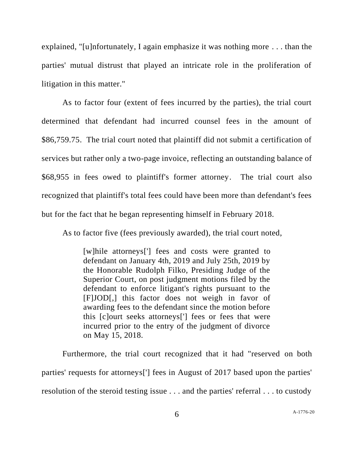explained, "[u]nfortunately, I again emphasize it was nothing more . . . than the parties' mutual distrust that played an intricate role in the proliferation of litigation in this matter."

As to factor four (extent of fees incurred by the parties), the trial court determined that defendant had incurred counsel fees in the amount of \$86,759.75. The trial court noted that plaintiff did not submit a certification of services but rather only a two-page invoice, reflecting an outstanding balance of \$68,955 in fees owed to plaintiff's former attorney. The trial court also recognized that plaintiff's total fees could have been more than defendant's fees but for the fact that he began representing himself in February 2018.

As to factor five (fees previously awarded), the trial court noted,

[w]hile attorneys['] fees and costs were granted to defendant on January 4th, 2019 and July 25th, 2019 by the Honorable Rudolph Filko, Presiding Judge of the Superior Court, on post judgment motions filed by the defendant to enforce litigant's rights pursuant to the [F]JOD[,] this factor does not weigh in favor of awarding fees to the defendant since the motion before this [c]ourt seeks attorneys['] fees or fees that were incurred prior to the entry of the judgment of divorce on May 15, 2018.

Furthermore, the trial court recognized that it had "reserved on both parties' requests for attorneys['] fees in August of 2017 based upon the parties' resolution of the steroid testing issue . . . and the parties' referral . . . to custody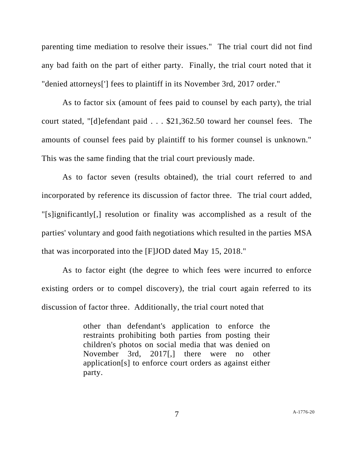parenting time mediation to resolve their issues." The trial court did not find any bad faith on the part of either party. Finally, the trial court noted that it "denied attorneys['] fees to plaintiff in its November 3rd, 2017 order."

As to factor six (amount of fees paid to counsel by each party), the trial court stated, "[d]efendant paid . . . \$21,362.50 toward her counsel fees. The amounts of counsel fees paid by plaintiff to his former counsel is unknown." This was the same finding that the trial court previously made.

As to factor seven (results obtained), the trial court referred to and incorporated by reference its discussion of factor three. The trial court added, "[s]ignificantly[,] resolution or finality was accomplished as a result of the parties' voluntary and good faith negotiations which resulted in the parties MSA that was incorporated into the [F]JOD dated May 15, 2018."

As to factor eight (the degree to which fees were incurred to enforce existing orders or to compel discovery), the trial court again referred to its discussion of factor three. Additionally, the trial court noted that

> other than defendant's application to enforce the restraints prohibiting both parties from posting their children's photos on social media that was denied on November 3rd, 2017[,] there were no other application[s] to enforce court orders as against either party.

7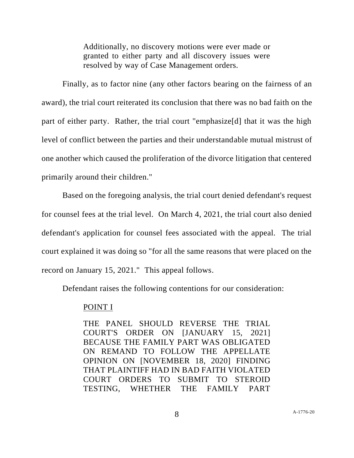Additionally, no discovery motions were ever made or granted to either party and all discovery issues were resolved by way of Case Management orders.

Finally, as to factor nine (any other factors bearing on the fairness of an award), the trial court reiterated its conclusion that there was no bad faith on the part of either party. Rather, the trial court "emphasize[d] that it was the high level of conflict between the parties and their understandable mutual mistrust of one another which caused the proliferation of the divorce litigation that centered primarily around their children."

Based on the foregoing analysis, the trial court denied defendant's request for counsel fees at the trial level. On March 4, 2021, the trial court also denied defendant's application for counsel fees associated with the appeal. The trial court explained it was doing so "for all the same reasons that were placed on the record on January 15, 2021." This appeal follows.

Defendant raises the following contentions for our consideration:

# POINT I

THE PANEL SHOULD REVERSE THE TRIAL COURT'S ORDER ON [JANUARY 15, 2021] BECAUSE THE FAMILY PART WAS OBLIGATED ON REMAND TO FOLLOW THE APPELLATE OPINION ON [NOVEMBER 18, 2020] FINDING THAT PLAINTIFF HAD IN BAD FAITH VIOLATED COURT ORDERS TO SUBMIT TO STEROID TESTING, WHETHER THE FAMILY PART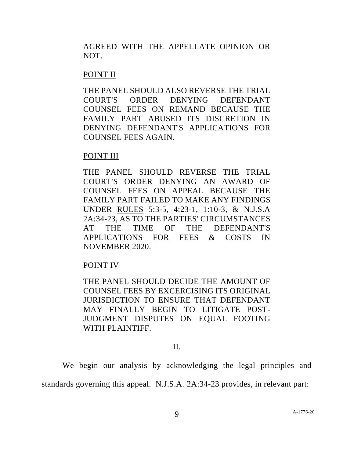AGREED WITH THE APPELLATE OPINION OR NOT.

# POINT II

THE PANEL SHOULD ALSO REVERSE THE TRIAL COURT'S ORDER DENYING DEFENDANT COUNSEL FEES ON REMAND BECAUSE THE FAMILY PART ABUSED ITS DISCRETION IN DENYING DEFENDANT'S APPLICATIONS FOR COUNSEL FEES AGAIN.

# POINT III

THE PANEL SHOULD REVERSE THE TRIAL COURT'S ORDER DENYING AN AWARD OF COUNSEL FEES ON APPEAL BECAUSE THE FAMILY PART FAILED TO MAKE ANY FINDINGS UNDER RULES 5:3-5, 4:23-1, 1:10-3, & N.J.S.A 2A:34-23, AS TO THE PARTIES' CIRCUMSTANCES AT THE TIME OF THE DEFENDANT'S APPLICATIONS FOR FEES & COSTS IN NOVEMBER 2020.

# POINT IV

THE PANEL SHOULD DECIDE THE AMOUNT OF COUNSEL FEES BY EXCERCISING ITS ORIGINAL JURISDICTION TO ENSURE THAT DEFENDANT MAY FINALLY BEGIN TO LITIGATE POST-JUDGMENT DISPUTES ON EQUAL FOOTING WITH PLAINTIFF.

### II.

We begin our analysis by acknowledging the legal principles and standards governing this appeal. N.J.S.A. 2A:34-23 provides, in relevant part: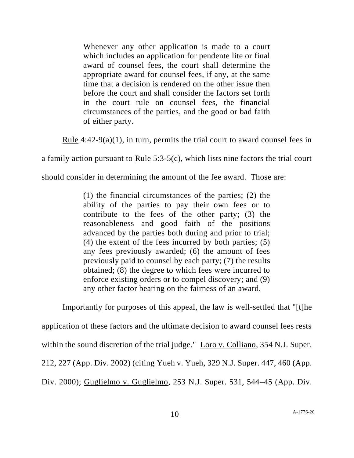Whenever any other application is made to a court which includes an application for pendente lite or final award of counsel fees, the court shall determine the appropriate award for counsel fees, if any, at the same time that a decision is rendered on the other issue then before the court and shall consider the factors set forth in the court rule on counsel fees, the financial circumstances of the parties, and the good or bad faith of either party.

Rule 4:42-9(a)(1), in turn, permits the trial court to award counsel fees in

a family action pursuant to Rule 5:3-5(c), which lists nine factors the trial court

should consider in determining the amount of the fee award. Those are:

(1) the financial circumstances of the parties; (2) the ability of the parties to pay their own fees or to contribute to the fees of the other party; (3) the reasonableness and good faith of the positions advanced by the parties both during and prior to trial; (4) the extent of the fees incurred by both parties; (5) any fees previously awarded; (6) the amount of fees previously paid to counsel by each party; (7) the results obtained; (8) the degree to which fees were incurred to enforce existing orders or to compel discovery; and (9) any other factor bearing on the fairness of an award.

Importantly for purposes of this appeal, the law is well-settled that "[t]he application of these factors and the ultimate decision to award counsel fees rests within the sound discretion of the trial judge." Loro v. Colliano, 354 N.J. Super. 212, 227 (App. Div. 2002) (citing Yueh v. Yueh, 329 N.J. Super. 447, 460 (App. Div. 2000); Guglielmo v. Guglielmo, 253 N.J. Super. 531, 544–45 (App. Div.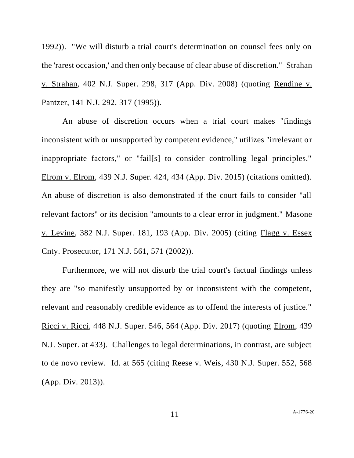1992)). "We will disturb a trial court's determination on counsel fees only on the 'rarest occasion,' and then only because of clear abuse of discretion." Strahan v. Strahan, 402 N.J. Super. 298, 317 (App. Div. 2008) (quoting Rendine v. Pantzer, 141 N.J. 292, 317 (1995)).

An abuse of discretion occurs when a trial court makes "findings inconsistent with or unsupported by competent evidence," utilizes "irrelevant or inappropriate factors," or "fail[s] to consider controlling legal principles." Elrom v. Elrom, 439 N.J. Super. 424, 434 (App. Div. 2015) (citations omitted). An abuse of discretion is also demonstrated if the court fails to consider "all relevant factors" or its decision "amounts to a clear error in judgment." Masone v. Levine, 382 N.J. Super. 181, 193 (App. Div. 2005) (citing Flagg v. Essex Cnty. Prosecutor, 171 N.J. 561, 571 (2002)).

Furthermore, we will not disturb the trial court's factual findings unless they are "so manifestly unsupported by or inconsistent with the competent, relevant and reasonably credible evidence as to offend the interests of justice." Ricci v. Ricci, 448 N.J. Super. 546, 564 (App. Div. 2017) (quoting Elrom, 439 N.J. Super. at 433). Challenges to legal determinations, in contrast, are subject to de novo review. Id. at 565 (citing Reese v. Weis, 430 N.J. Super. 552, 568 (App. Div. 2013)).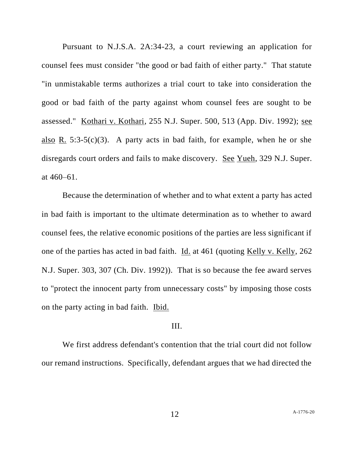Pursuant to N.J.S.A. 2A:34-23, a court reviewing an application for counsel fees must consider "the good or bad faith of either party." That statute "in unmistakable terms authorizes a trial court to take into consideration the good or bad faith of the party against whom counsel fees are sought to be assessed." Kothari v. Kothari, 255 N.J. Super. 500, 513 (App. Div. 1992); see also R. 5:3-5(c)(3). A party acts in bad faith, for example, when he or she disregards court orders and fails to make discovery. See Yueh, 329 N.J. Super. at 460–61.

Because the determination of whether and to what extent a party has acted in bad faith is important to the ultimate determination as to whether to award counsel fees, the relative economic positions of the parties are less significant if one of the parties has acted in bad faith. Id. at 461 (quoting Kelly v. Kelly, 262 N.J. Super. 303, 307 (Ch. Div. 1992)). That is so because the fee award serves to "protect the innocent party from unnecessary costs" by imposing those costs on the party acting in bad faith. Ibid.

### III.

We first address defendant's contention that the trial court did not follow our remand instructions. Specifically, defendant argues that we had directed the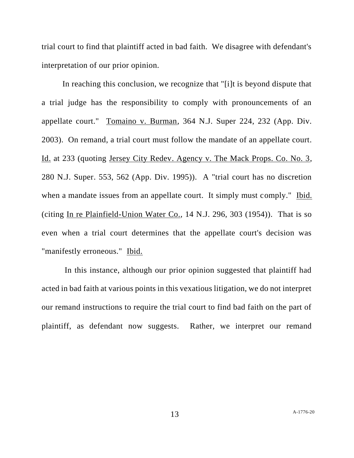trial court to find that plaintiff acted in bad faith. We disagree with defendant's interpretation of our prior opinion.

In reaching this conclusion, we recognize that "[i]t is beyond dispute that a trial judge has the responsibility to comply with pronouncements of an appellate court." Tomaino v. Burman, 364 N.J. Super 224, 232 (App. Div. 2003). On remand, a trial court must follow the mandate of an appellate court. Id. at 233 (quoting Jersey City Redev. Agency v. The Mack Props. Co. No. 3, 280 N.J. Super. 553, 562 (App. Div. 1995)). A "trial court has no discretion when a mandate issues from an appellate court. It simply must comply." Ibid. (citing In re Plainfield-Union Water Co., 14 N.J. 296, 303 (1954)). That is so even when a trial court determines that the appellate court's decision was "manifestly erroneous." Ibid.

In this instance, although our prior opinion suggested that plaintiff had acted in bad faith at various points in this vexatious litigation, we do not interpret our remand instructions to require the trial court to find bad faith on the part of plaintiff, as defendant now suggests. Rather, we interpret our remand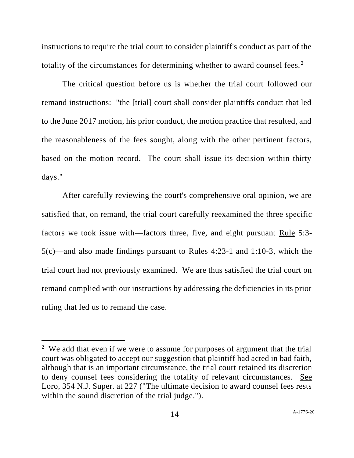instructions to require the trial court to consider plaintiff's conduct as part of the totality of the circumstances for determining whether to award counsel fees.<sup>2</sup>

The critical question before us is whether the trial court followed our remand instructions: "the [trial] court shall consider plaintiffs conduct that led to the June 2017 motion, his prior conduct, the motion practice that resulted, and the reasonableness of the fees sought, along with the other pertinent factors, based on the motion record. The court shall issue its decision within thirty days."

After carefully reviewing the court's comprehensive oral opinion, we are satisfied that, on remand, the trial court carefully reexamined the three specific factors we took issue with—factors three, five, and eight pursuant Rule 5:3- 5(c)—and also made findings pursuant to Rules 4:23-1 and 1:10-3, which the trial court had not previously examined. We are thus satisfied the trial court on remand complied with our instructions by addressing the deficiencies in its prior ruling that led us to remand the case.

<sup>&</sup>lt;sup>2</sup> We add that even if we were to assume for purposes of argument that the trial court was obligated to accept our suggestion that plaintiff had acted in bad faith, although that is an important circumstance, the trial court retained its discretion to deny counsel fees considering the totality of relevant circumstances. See Loro, 354 N.J. Super. at 227 ("The ultimate decision to award counsel fees rests within the sound discretion of the trial judge.").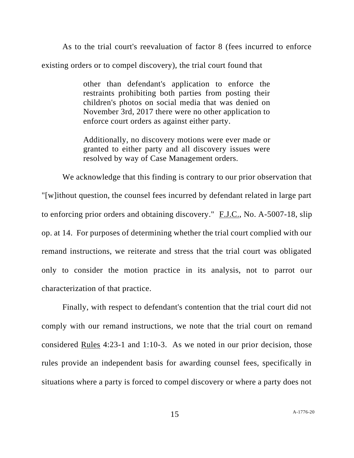As to the trial court's reevaluation of factor 8 (fees incurred to enforce existing orders or to compel discovery), the trial court found that

> other than defendant's application to enforce the restraints prohibiting both parties from posting their children's photos on social media that was denied on November 3rd, 2017 there were no other application to enforce court orders as against either party.

> Additionally, no discovery motions were ever made or granted to either party and all discovery issues were resolved by way of Case Management orders.

We acknowledge that this finding is contrary to our prior observation that "[w]ithout question, the counsel fees incurred by defendant related in large part to enforcing prior orders and obtaining discovery." F.J.C., No. A-5007-18, slip op. at 14. For purposes of determining whether the trial court complied with our remand instructions, we reiterate and stress that the trial court was obligated only to consider the motion practice in its analysis, not to parrot our characterization of that practice.

Finally, with respect to defendant's contention that the trial court did not comply with our remand instructions, we note that the trial court on remand considered Rules 4:23-1 and 1:10-3. As we noted in our prior decision, those rules provide an independent basis for awarding counsel fees, specifically in situations where a party is forced to compel discovery or where a party does not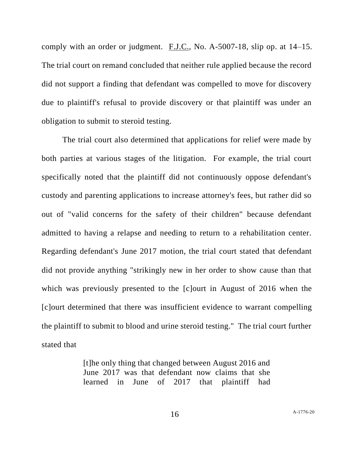comply with an order or judgment. F.J.C., No. A-5007-18, slip op. at 14–15. The trial court on remand concluded that neither rule applied because the record did not support a finding that defendant was compelled to move for discovery due to plaintiff's refusal to provide discovery or that plaintiff was under an obligation to submit to steroid testing.

The trial court also determined that applications for relief were made by both parties at various stages of the litigation. For example, the trial court specifically noted that the plaintiff did not continuously oppose defendant's custody and parenting applications to increase attorney's fees, but rather did so out of "valid concerns for the safety of their children" because defendant admitted to having a relapse and needing to return to a rehabilitation center. Regarding defendant's June 2017 motion, the trial court stated that defendant did not provide anything "strikingly new in her order to show cause than that which was previously presented to the [c]ourt in August of 2016 when the [c]ourt determined that there was insufficient evidence to warrant compelling the plaintiff to submit to blood and urine steroid testing." The trial court further stated that

> [t]he only thing that changed between August 2016 and June 2017 was that defendant now claims that she learned in June of 2017 that plaintiff had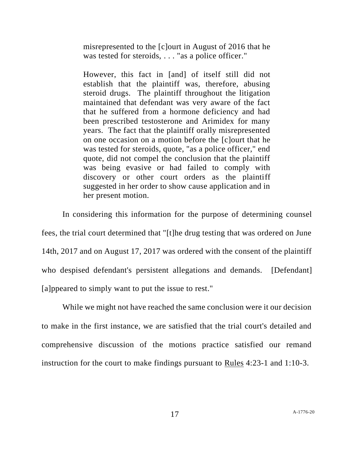misrepresented to the [c]ourt in August of 2016 that he was tested for steroids, . . . "as a police officer."

However, this fact in [and] of itself still did not establish that the plaintiff was, therefore, abusing steroid drugs. The plaintiff throughout the litigation maintained that defendant was very aware of the fact that he suffered from a hormone deficiency and had been prescribed testosterone and Arimidex for many years. The fact that the plaintiff orally misrepresented on one occasion on a motion before the [c]ourt that he was tested for steroids, quote, "as a police officer," end quote, did not compel the conclusion that the plaintiff was being evasive or had failed to comply with discovery or other court orders as the plaintiff suggested in her order to show cause application and in her present motion.

In considering this information for the purpose of determining counsel fees, the trial court determined that "[t]he drug testing that was ordered on June 14th, 2017 and on August 17, 2017 was ordered with the consent of the plaintiff who despised defendant's persistent allegations and demands. [Defendant] [a]ppeared to simply want to put the issue to rest."

While we might not have reached the same conclusion were it our decision to make in the first instance, we are satisfied that the trial court's detailed and comprehensive discussion of the motions practice satisfied our remand instruction for the court to make findings pursuant to Rules 4:23-1 and 1:10-3.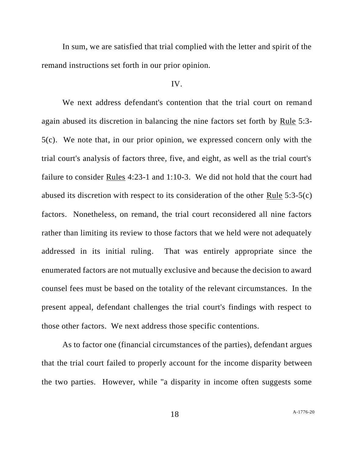In sum, we are satisfied that trial complied with the letter and spirit of the remand instructions set forth in our prior opinion.

### IV.

We next address defendant's contention that the trial court on remand again abused its discretion in balancing the nine factors set forth by Rule 5:3- 5(c). We note that, in our prior opinion, we expressed concern only with the trial court's analysis of factors three, five, and eight, as well as the trial court's failure to consider Rules 4:23-1 and 1:10-3. We did not hold that the court had abused its discretion with respect to its consideration of the other Rule 5:3-5(c) factors. Nonetheless, on remand, the trial court reconsidered all nine factors rather than limiting its review to those factors that we held were not adequately addressed in its initial ruling. That was entirely appropriate since the enumerated factors are not mutually exclusive and because the decision to award counsel fees must be based on the totality of the relevant circumstances. In the present appeal, defendant challenges the trial court's findings with respect to those other factors. We next address those specific contentions.

As to factor one (financial circumstances of the parties), defendant argues that the trial court failed to properly account for the income disparity between the two parties. However, while "a disparity in income often suggests some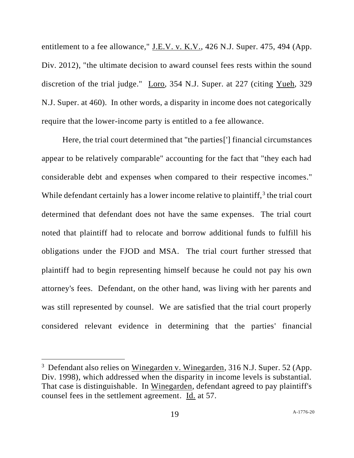entitlement to a fee allowance," J.E.V. v. K.V., 426 N.J. Super. 475, 494 (App. Div. 2012), "the ultimate decision to award counsel fees rests within the sound discretion of the trial judge." Loro, 354 N.J. Super. at 227 (citing Yueh, 329 N.J. Super. at 460). In other words, a disparity in income does not categorically require that the lower-income party is entitled to a fee allowance.

Here, the trial court determined that "the parties['] financial circumstances appear to be relatively comparable" accounting for the fact that "they each had considerable debt and expenses when compared to their respective incomes." While defendant certainly has a lower income relative to plaintiff, $3$  the trial court determined that defendant does not have the same expenses. The trial court noted that plaintiff had to relocate and borrow additional funds to fulfill his obligations under the FJOD and MSA. The trial court further stressed that plaintiff had to begin representing himself because he could not pay his own attorney's fees. Defendant, on the other hand, was living with her parents and was still represented by counsel. We are satisfied that the trial court properly considered relevant evidence in determining that the parties' financial

<sup>&</sup>lt;sup>3</sup> Defendant also relies on Winegarden v. Winegarden, 316 N.J. Super. 52 (App. Div. 1998), which addressed when the disparity in income levels is substantial. That case is distinguishable. In Winegarden, defendant agreed to pay plaintiff's counsel fees in the settlement agreement. Id. at 57.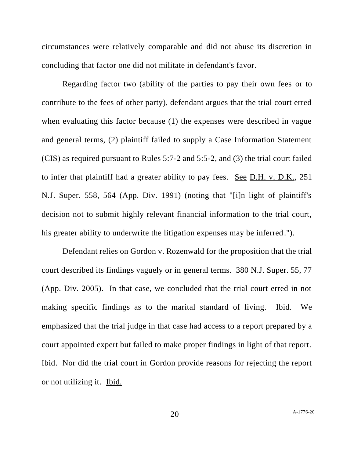circumstances were relatively comparable and did not abuse its discretion in concluding that factor one did not militate in defendant's favor.

Regarding factor two (ability of the parties to pay their own fees or to contribute to the fees of other party), defendant argues that the trial court erred when evaluating this factor because (1) the expenses were described in vague and general terms, (2) plaintiff failed to supply a Case Information Statement (CIS) as required pursuant to Rules 5:7-2 and 5:5-2, and (3) the trial court failed to infer that plaintiff had a greater ability to pay fees. See D.H. v. D.K., 251 N.J. Super. 558, 564 (App. Div. 1991) (noting that "[i]n light of plaintiff's decision not to submit highly relevant financial information to the trial court, his greater ability to underwrite the litigation expenses may be inferred.").

Defendant relies on Gordon v. Rozenwald for the proposition that the trial court described its findings vaguely or in general terms. 380 N.J. Super. 55, 77 (App. Div. 2005). In that case, we concluded that the trial court erred in not making specific findings as to the marital standard of living. Ibid. We emphasized that the trial judge in that case had access to a report prepared by a court appointed expert but failed to make proper findings in light of that report. Ibid. Nor did the trial court in Gordon provide reasons for rejecting the report or not utilizing it. Ibid.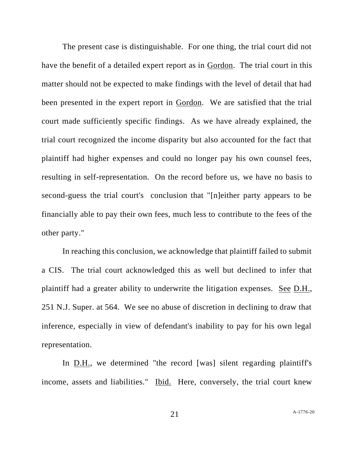The present case is distinguishable. For one thing, the trial court did not have the benefit of a detailed expert report as in Gordon. The trial court in this matter should not be expected to make findings with the level of detail that had been presented in the expert report in Gordon. We are satisfied that the trial court made sufficiently specific findings. As we have already explained, the trial court recognized the income disparity but also accounted for the fact that plaintiff had higher expenses and could no longer pay his own counsel fees, resulting in self-representation. On the record before us, we have no basis to second-guess the trial court's conclusion that "[n]either party appears to be financially able to pay their own fees, much less to contribute to the fees of the other party."

In reaching this conclusion, we acknowledge that plaintiff failed to submit a CIS. The trial court acknowledged this as well but declined to infer that plaintiff had a greater ability to underwrite the litigation expenses. <u>See D.H.</u>, 251 N.J. Super. at 564. We see no abuse of discretion in declining to draw that inference, especially in view of defendant's inability to pay for his own legal representation.

In D.H., we determined "the record [was] silent regarding plaintiff's income, assets and liabilities." Ibid. Here, conversely, the trial court knew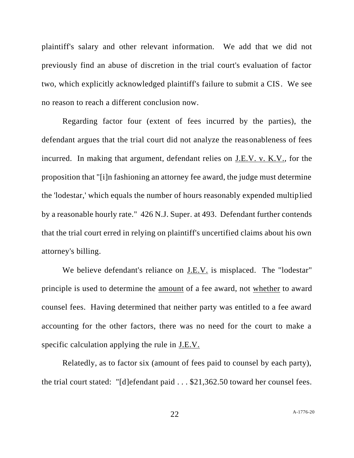plaintiff's salary and other relevant information. We add that we did not previously find an abuse of discretion in the trial court's evaluation of factor two, which explicitly acknowledged plaintiff's failure to submit a CIS. We see no reason to reach a different conclusion now.

Regarding factor four (extent of fees incurred by the parties), the defendant argues that the trial court did not analyze the reasonableness of fees incurred. In making that argument, defendant relies on J.E.V. v. K.V., for the proposition that "[i]n fashioning an attorney fee award, the judge must determine the 'lodestar,' which equals the number of hours reasonably expended multiplied by a reasonable hourly rate." 426 N.J. Super. at 493. Defendant further contends that the trial court erred in relying on plaintiff's uncertified claims about his own attorney's billing.

We believe defendant's reliance on J.E.V. is misplaced. The "lodestar" principle is used to determine the <u>amount</u> of a fee award, not whether to award counsel fees. Having determined that neither party was entitled to a fee award accounting for the other factors, there was no need for the court to make a specific calculation applying the rule in J.E.V.

Relatedly, as to factor six (amount of fees paid to counsel by each party), the trial court stated: "[d]efendant paid . . . \$21,362.50 toward her counsel fees.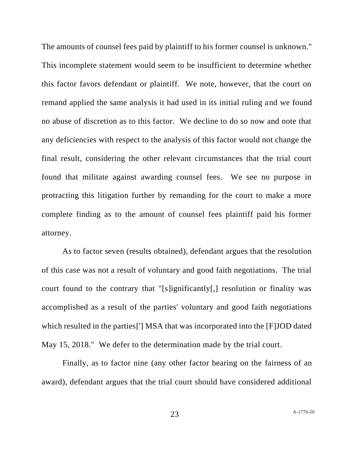The amounts of counsel fees paid by plaintiff to his former counsel is unknown." This incomplete statement would seem to be insufficient to determine whether this factor favors defendant or plaintiff. We note, however, that the court on remand applied the same analysis it had used in its initial ruling and we found no abuse of discretion as to this factor. We decline to do so now and note that any deficiencies with respect to the analysis of this factor would not change the final result, considering the other relevant circumstances that the trial court found that militate against awarding counsel fees. We see no purpose in protracting this litigation further by remanding for the court to make a more complete finding as to the amount of counsel fees plaintiff paid his former attorney.

As to factor seven (results obtained), defendant argues that the resolution of this case was not a result of voluntary and good faith negotiations. The trial court found to the contrary that "[s]ignificantly[,] resolution or finality was accomplished as a result of the parties' voluntary and good faith negotiations which resulted in the parties['] MSA that was incorporated into the [F]JOD dated May 15, 2018." We defer to the determination made by the trial court.

Finally, as to factor nine (any other factor bearing on the fairness of an award), defendant argues that the trial court should have considered additional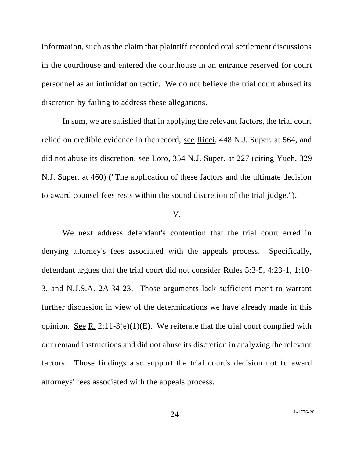information, such as the claim that plaintiff recorded oral settlement discussions in the courthouse and entered the courthouse in an entrance reserved for court personnel as an intimidation tactic. We do not believe the trial court abused its discretion by failing to address these allegations.

In sum, we are satisfied that in applying the relevant factors, the trial court relied on credible evidence in the record, see Ricci, 448 N.J. Super. at 564, and did not abuse its discretion, see Loro, 354 N.J. Super. at 227 (citing Yueh, 329 N.J. Super. at 460) ("The application of these factors and the ultimate decision to award counsel fees rests within the sound discretion of the trial judge.").

### V.

We next address defendant's contention that the trial court erred in denying attorney's fees associated with the appeals process. Specifically, defendant argues that the trial court did not consider Rules 5:3-5, 4:23-1, 1:10- 3, and N.J.S.A. 2A:34-23. Those arguments lack sufficient merit to warrant further discussion in view of the determinations we have already made in this opinion. <u>See R.</u> 2:11-3(e)(1)(E). We reiterate that the trial court complied with our remand instructions and did not abuse its discretion in analyzing the relevant factors. Those findings also support the trial court's decision not to award attorneys' fees associated with the appeals process.